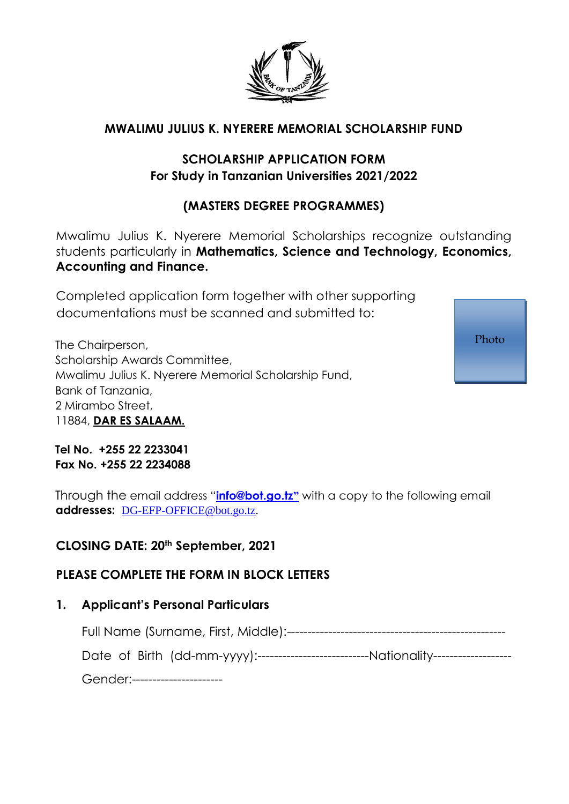

### **MWALIMU JULIUS K. NYERERE MEMORIAL SCHOLARSHIP FUND**

## **SCHOLARSHIP APPLICATION FORM For Study in Tanzanian Universities 2021/2022**

## **(MASTERS DEGREE PROGRAMMES)**

Mwalimu Julius K. Nyerere Memorial Scholarships recognize outstanding students particularly in **Mathematics, Science and Technology, Economics, Accounting and Finance.**

Completed application form together with other supporting documentations must be scanned and submitted to:

The Chairperson, Scholarship Awards Committee, Mwalimu Julius K. Nyerere Memorial Scholarship Fund, Bank of Tanzania, 2 Mirambo Street, 11884, **DAR ES SALAAM.**

**Tel No. +255 22 2233041 Fax No. +255 22 2234088**

Through the email address "**info@bot.go.tz"** with a copy to the following email **addresses:** DG-EFP-OFFICE@bot.go.tz.

### **CLOSING DATE: 20th September, 2021**

### **PLEASE COMPLETE THE FORM IN BLOCK LETTERS**

### **1. Applicant's Personal Particulars**

Full Name (Surname, First, Middle):-----------------------------------------------------

Date of Birth (dd-mm-yyyy):---------------------------Nationality-------------------

Gender:----------------------

Photo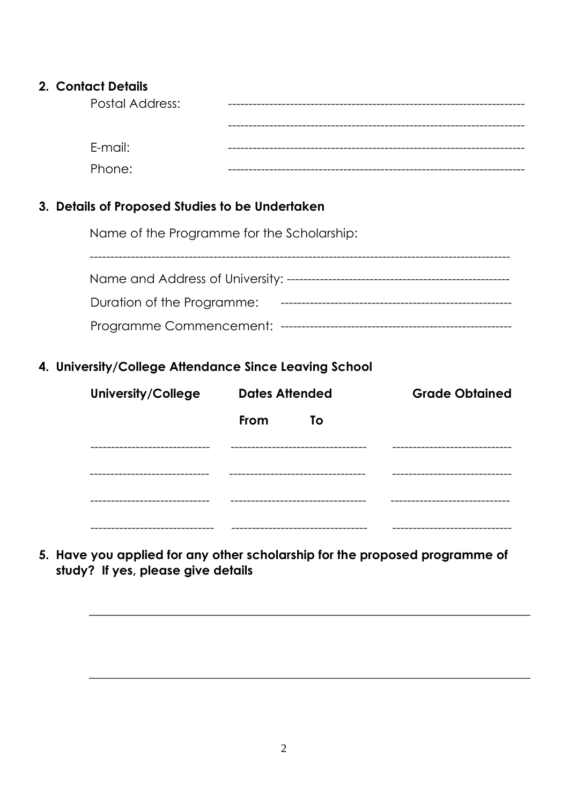#### 2. Contact Details

| <b>Postal Address:</b> |  |
|------------------------|--|
|                        |  |
| E-mail:                |  |
| Phone:                 |  |

### 3. Details of Proposed Studies to be Undertaken

Name of the Programme for the Scholarship:

| Name and Address of University: -- |  |  |  |  |
|------------------------------------|--|--|--|--|
| Duration of the Programme:         |  |  |  |  |
| Programme Commencement:            |  |  |  |  |

### 4. University/College Attendance Since Leaving School

| <b>University/College</b> | <b>Dates Attended</b>           | <b>Grade Obtained</b>   |
|---------------------------|---------------------------------|-------------------------|
|                           | - To<br><b>From</b>             |                         |
|                           |                                 | --------------------    |
|                           |                                 |                         |
|                           | -----------------               |                         |
| ---------------------     | ------------------------------- | ----------------------- |

5. Have you applied for any other scholarship for the proposed programme of study? If yes, please give details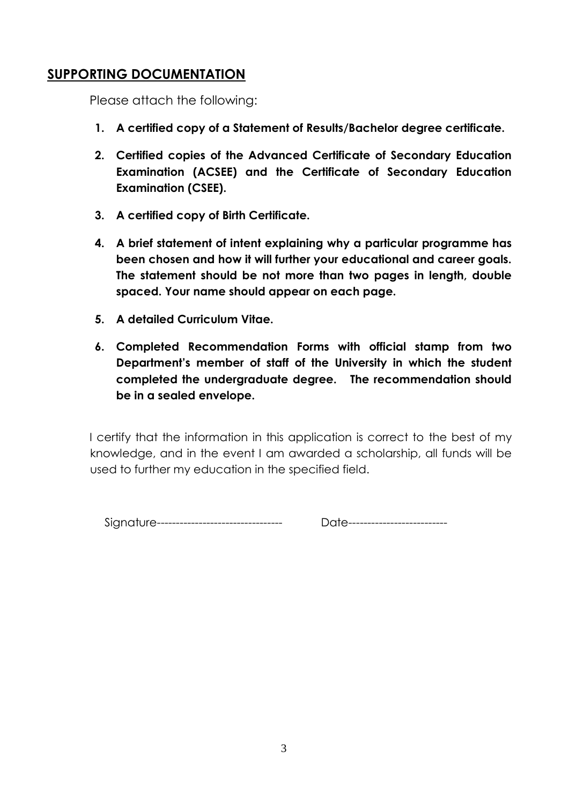# **SUPPORTING DOCUMENTATION**

Please attach the following:

- **1. A certified copy of a Statement of Results/Bachelor degree certificate.**
- **2. Certified copies of the Advanced Certificate of Secondary Education Examination (ACSEE) and the Certificate of Secondary Education Examination (CSEE).**
- **3. A certified copy of Birth Certificate.**
- **4. A brief statement of intent explaining why a particular programme has been chosen and how it will further your educational and career goals. The statement should be not more than two pages in length, double spaced. Your name should appear on each page.**
- **5. A detailed Curriculum Vitae.**
- **6. Completed Recommendation Forms with official stamp from two Department's member of staff of the University in which the student completed the undergraduate degree. The recommendation should be in a sealed envelope.**

I certify that the information in this application is correct to the best of my knowledge, and in the event I am awarded a scholarship, all funds will be used to further my education in the specified field.

Signature--------------------------------- Date--------------------------